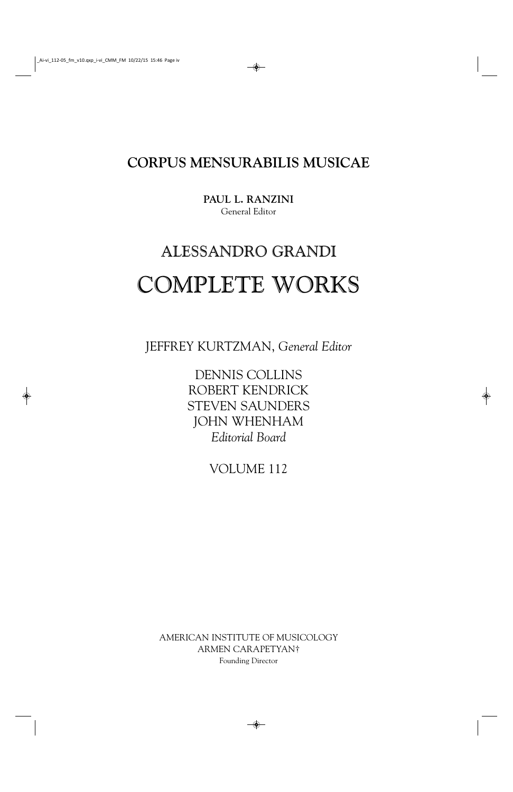**CORPUS MENSURABILIS MUSICAE**

**PAUL L. RANZINI** General Editor

# ALESSANDRO GRANDI COMPLETE WORKS

JEFFREY KURTZMAN, *General Editor*

DENNIS COLLINS ROBERT KENDRICK STEVEN SAUNDERS JOHN WHENHAM *Editorial Board*

VOLUME 112

AMERICAN INSTITUTE OF MUSICOLOGY ARMEN CARAPETYAN† Founding Director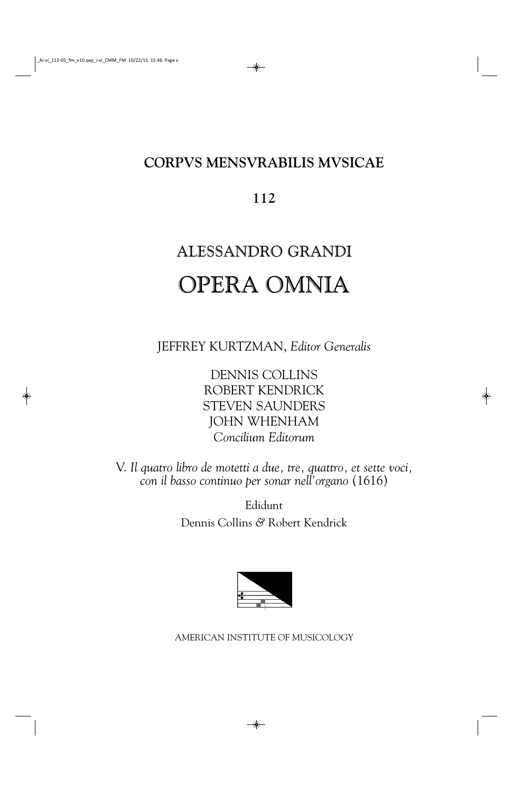## **CORPVS MENSVRABILIS MVSICAE**

### **112**

# ALESSANDRO GRANDI OPERA OMNIA

JEFFREY KURTZMAN, *Editor Generalis*

DENNIS COLLINS ROBERT KENDRICK STEVEN SAUNDERS JOHN WHENHAM *Concilium Editorum*

V. *Il quatro libro de motetti a due, tre, quattro, et sette voci, con il basso continuo per sonar nell'organo* (1616)

> Edidunt Dennis Collins *&* Robert Kendrick



AMERICAN INSTITUTE OF MUSICOLOGY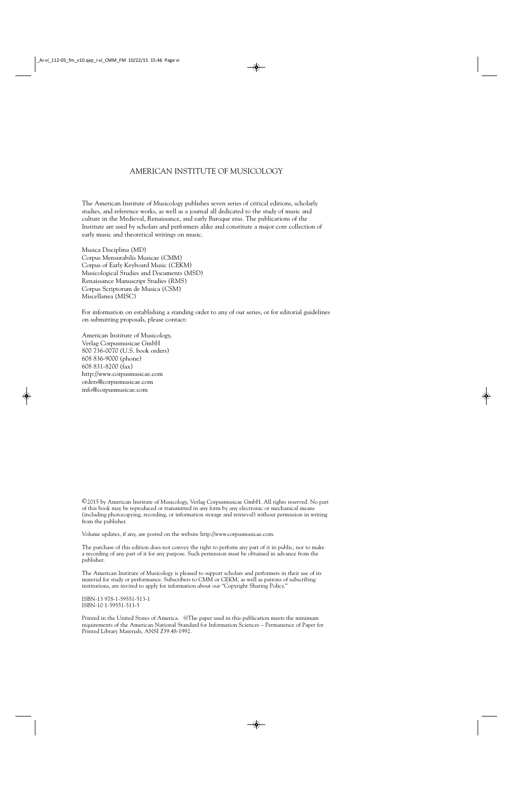#### AMERICAN INSTITUTE OF MUSICOLOGY

The American Institute of Musicology publishes seven series of critical editions, scholarly studies, and reference works, as well as a journal all dedicated to the study of music and culture in the Medieval, Renaissance, and early Baroque eras. The publications of the Institute are used by scholars and performers alike and constitute a major core collection of early music and theoretical writings on music.

Musica Disciplina (MD) Corpus Mensurabilis Musicae (CMM) Corpus of Early Keyboard Music (CEKM) Musicological Studies and Documents (MSD) Renaissance Manuscript Studies (RMS) Corpus Scriptorum de Musica (CSM) Miscellanea (MISC)

For information on establishing a standing order to any of our series, or for editorial guidelines on submitting proposals, please contact:

American Institute of Musicology, Verlag Corpusmusicae GmbH 800 736-0070 (U.S. book orders) 608 836-9000 (phone) 608 831-8200 (fax) http://www.corpusmusicae.com orders@corpusmusicae.com info@corpusmusicae.com

©2015 by American Institute of Musicology, Verlag Corpusmusicae GmbH. All rights reserved. No part of this book may be reproduced or transmitted in any form by any electronic or mechanical means (including photocopying, recording, or information storage and retrieval) without permission in writing from the publisher.

Volume updates, if any, are posted on the website http://www.corpusmusicae.com.

The purchase of this edition does not convey the right to perform any part of it in public, nor to make a recording of any part of it for any purpose. Such permission must be obtained in advance from the publisher.

The American Institute of Musicology is pleased to support scholars and performers in their use of its material for study or performance. Subscribers to CMM or CEKM, as well as patrons of subscribing institutions, are invited to apply for information about our "Copyright Sharing Policy."

ISBN-13 978-1-59551-513-1 ISBN-10 1-59551-513-5

Printed in the United States of America. @The paper used in this publication meets the minimum requirements of the American National Standard for Information Sciences – Permanence of Paper for Printed Library Materials, ANSI Z39.48-1992.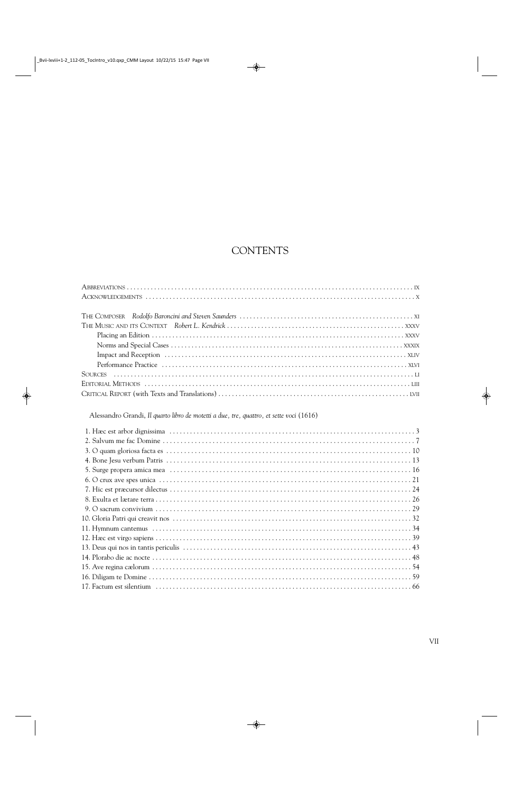### **CONTENTS**

Alessandro Grandi, Il quarto libro de motetti a due, tre, quattro, et sette voci (1616)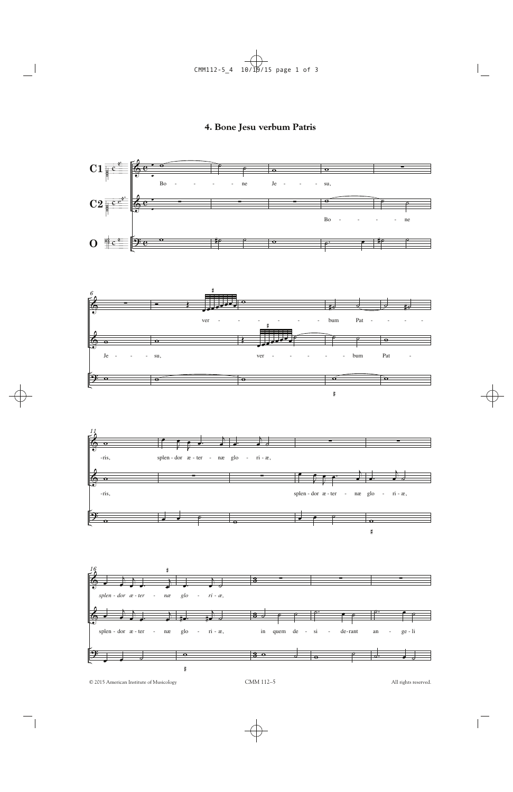#### 4. Bone Jesu verbum Patris



© 2015 American Institute of Musicology